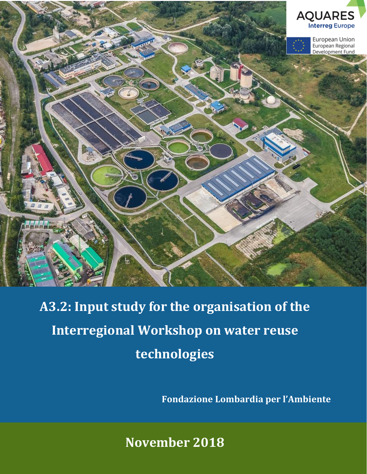

# **A3.2: Input study for the organisation of the Interregional Workshop on water reuse technologies**

**Fondazione Lombardia per l'Ambiente**

**November 2018**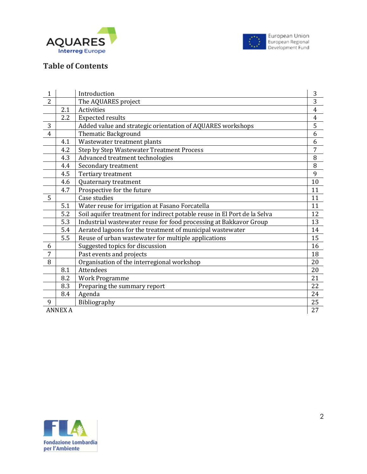



#### **Table of Contents**

| $\mathbf{1}$   |                | Introduction                                                             | 3              |
|----------------|----------------|--------------------------------------------------------------------------|----------------|
| $\overline{2}$ |                | The AQUARES project                                                      | 3              |
|                | 2.1            | <b>Activities</b>                                                        | $\overline{4}$ |
|                | 2.2            | <b>Expected results</b>                                                  | $\overline{4}$ |
| 3              |                | Added value and strategic orientation of AQUARES workshops               | 5              |
| $\overline{4}$ |                | <b>Thematic Background</b>                                               | 6              |
|                | 4.1            | Wastewater treatment plants                                              | 6              |
|                | 4.2            | Step by Step Wastewater Treatment Process                                | $\overline{7}$ |
|                | 4.3            | Advanced treatment technologies                                          | 8              |
|                | 4.4            | Secondary treatment                                                      | 8              |
|                | 4.5            | Tertiary treatment                                                       | 9              |
|                | 4.6            | Quaternary treatment                                                     | 10             |
|                | 4.7            | Prospective for the future                                               | 11             |
| 5              |                | Case studies                                                             | 11             |
|                | 5.1            | Water reuse for irrigation at Fasano Forcatella                          | 11             |
|                | 5.2            | Soil aquifer treatment for indirect potable reuse in El Port de la Selva | 12             |
|                | 5.3            | Industrial wastewater reuse for food processing at Bakkavor Group        | 13             |
|                | 5.4            | Aerated lagoons for the treatment of municipal wastewater                | 14             |
|                | 5.5            | Reuse of urban wastewater for multiple applications                      | 15             |
| 6              |                | Suggested topics for discussion                                          | 16             |
| 7              |                | Past events and projects                                                 | 18             |
| 8              |                | Organisation of the interregional workshop                               | 20             |
|                | 8.1            | Attendees                                                                | 20             |
|                | 8.2            | <b>Work Programme</b>                                                    | 21             |
|                | 8.3            | Preparing the summary report                                             | 22             |
|                | 8.4            | Agenda                                                                   | 24             |
| 9              |                | Bibliography                                                             | 25             |
|                | <b>ANNEX A</b> |                                                                          | 27             |

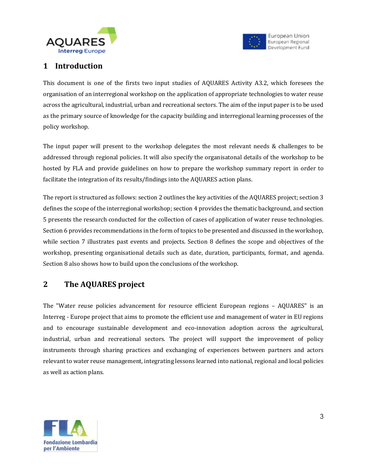



#### **1 Introduction**

This document is one of the firsts two input studies of AQUARES Activity A3.2, which foresees the organisation of an interregional workshop on the application of appropriate technologies to water reuse across the agricultural, industrial, urban and recreational sectors. The aim of the input paper is to be used as the primary source of knowledge for the capacity building and interregional learning processes of the policy workshop.

The input paper will present to the workshop delegates the most relevant needs & challenges to be addressed through regional policies. It will also specify the organisatonal details of the workshop to be hosted by FLA and provide guidelines on how to prepare the workshop summary report in order to facilitate the integration of its results/findings into the AQUARES action plans.

The report is structured as follows: section 2 outlines the key activities of the AQUARES project; section 3 defines the scope of the interregional workshop; section 4 provides the thematic background, and section 5 presents the research conducted for the collection of cases of application of water reuse technologies. Section 6 provides recommendations in the form of topics to be presented and discussed in the workshop, while section 7 illustrates past events and projects. Section 8 defines the scope and objectives of the workshop, presenting organisational details such as date, duration, participants, format, and agenda. Section 8 also shows how to build upon the conclusions of the workshop.

## **2 The AQUARES project**

The "Water reuse policies advancement for resource efficient European regions – AQUARES" is an Interreg - Europe project that aims to promote the efficient use and management of water in EU regions and to encourage sustainable development and eco-innovation adoption across the agricultural, industrial, urban and recreational sectors. The project will support the improvement of policy instruments through sharing practices and exchanging of experiences between partners and actors relevant to water reuse management, integrating lessons learned into national, regional and local policies as well as action plans.

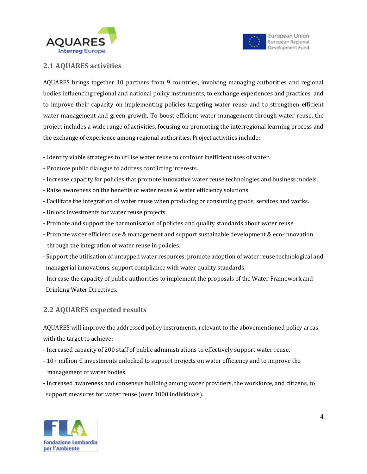



#### **2.1 AQUARES activities**

AQUARES brings together 10 partners from 9 countries, involving managing authorities and regional bodies influencing regional and national policy instruments, to exchange experiences and practices, and to improve their capacity on implementing policies targeting water reuse and to strengthen efficient water management and green growth. To boost efficient water management through water reuse, the project includes a wide range of activities, focusing on promoting the interregional learning process and the exchange of experience among regional authorities. Project activities include:

- Identify viable strategies to utilise water reuse to confront inefficient uses of water.
- Promote public dialogue to address conflicting interests.
- Increase capacity for policies that promote innovative water reuse technologies and business models.
- Raise awareness on the benefits of water reuse & water efficiency solutions.
- Facilitate the integration of water reuse when producing or consuming goods, services and works.
- Unlock investments for water reuse projects.
- Promote and support the harmonisation of policies and quality standards about water reuse.
- Promote water efficient use & management and support sustainable development & eco-innovation through the integration of water reuse in policies.
- Support the utilisation of untapped water resources, promote adoption of water reuse technological and managerial innovations, support compliance with water quality standards.
- Increase the capacity of public authorities to implement the proposals of the Water Framework and Drinking Water Directives.

#### **2.2 AQUARES expected results**

AQUARES will improve the addressed policy instruments, relevant to the abovementioned policy areas, with the target to achieve:

- Increased capacity of 200 staff of public administrations to effectively support water reuse.
- 10+ million € investments unlocked to support projects on water efficiency and to improve the management of water bodies.
- Increased awareness and consensus building among water providers, the workforce, and citizens, to support measures for water reuse (over 1000 individuals).

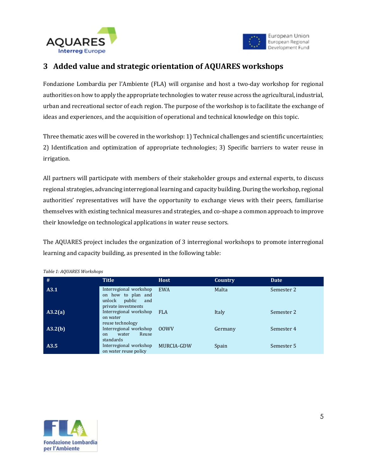



#### **3 Added value and strategic orientation of AQUARES workshops**

Fondazione Lombardia per l'Ambiente (FLA) will organise and host a two-day workshop for regional authorities on how to apply the appropriate technologies to water reuse across the agricultural, industrial, urban and recreational sector of each region. The purpose of the workshop is to facilitate the exchange of ideas and experiences, and the acquisition of operational and technical knowledge on this topic.

Three thematic axes will be covered in the workshop: 1) Technical challenges and scientific uncertainties; 2) Identification and optimization of appropriate technologies; 3) Specific barriers to water reuse in irrigation.

All partners will participate with members of their stakeholder groups and external experts, to discuss regional strategies, advancing interregional learning and capacity building. During the workshop, regional authorities' representatives will have the opportunity to exchange views with their peers, familiarise themselves with existing technical measures and strategies, and co-shape a common approach to improve their knowledge on technological applications in water reuse sectors.

The AQUARES project includes the organization of 3 interregional workshops to promote interregional learning and capacity building, as presented in the following table:

| #       | <b>Title</b>                                                                                   | <b>Host</b>     | Country | <b>Date</b> |
|---------|------------------------------------------------------------------------------------------------|-----------------|---------|-------------|
| A3.1    | Interregional workshop<br>on how to plan and<br>public<br>unlock<br>and<br>private investments | <b>EWA</b>      | Malta   | Semester 2  |
| A3.2(a) | Interregional workshop FLA<br>on water<br>reuse technology                                     |                 | Italy   | Semester 2  |
| A3.2(b) | Interregional workshop<br>Reuse<br>water<br>on<br>standards                                    | 00 <sub>W</sub> | Germany | Semester 4  |
| A3.5    | Interregional workshop<br>on water reuse policy                                                | MURCIA-GDW      | Spain   | Semester 5  |

*Table 1: AQUARES Workshops*

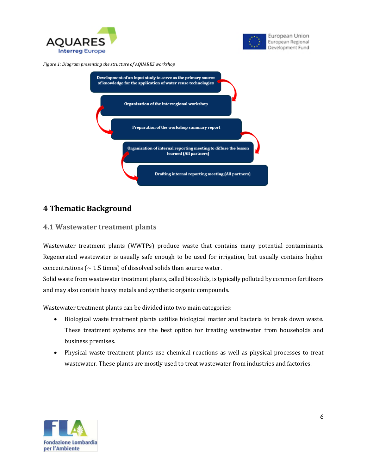



*Figure 1: Diagram presenting the structure of AQUARES workshop*



### **4 Thematic Background**

#### **4.1 Wastewater treatment plants**

Wastewater treatment plants (WWTPs) produce waste that contains many potential contaminants. Regenerated wastewater is usually safe enough to be used for irrigation, but usually contains higher concentrations ( $\sim$  1.5 times) of dissolved solids than source water.

Solid waste from wastewater treatment plants, called biosolids, is typically polluted by common fertilizers and may also contain heavy metals and synthetic organic compounds.

Wastewater treatment plants can be divided into two main categories:

- Biological waste treatment plants ustilise biological matter and bacteria to break down waste. These treatment systems are the best option for treating wastewater from households and business premises.
- Physical waste treatment plants use chemical reactions as well as physical processes to treat wastewater. These plants are mostly used to treat wastewater from industries and factories.

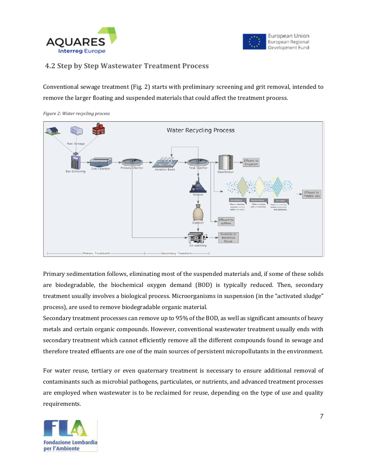



#### **4.2 Step by Step Wastewater Treatment Process**

Conventional sewage treatment (Fig. 2) starts with preliminary screening and grit removal, intended to remove the larger floating and suspended materials that could affect the treatment process.



*Figure 2: Water recycling process*

Primary sedimentation follows, eliminating most of the suspended materials and, if some of these solids are biodegradable, the biochemical oxygen demand (BOD) is typically reduced. Then, secondary treatment usually involves a biological process. Microorganisms in suspension (in the "activated sludge" process), are used to remove biodegradable organic material.

Secondary treatment processes can remove up to 95% of the BOD, as well as significant amounts of heavy metals and certain organic compounds. However, conventional wastewater treatment usually ends with secondary treatment which cannot efficiently remove all the different compounds found in sewage and therefore treated effluents are one of the main sources of persistent micropollutants in the environment.

For water reuse, tertiary or even quaternary treatment is necessary to ensure additional removal of contaminants such as microbial pathogens, particulates, or nutrients, and advanced treatment processes are employed when wastewater is to be reclaimed for reuse, depending on the type of use and quality requirements.

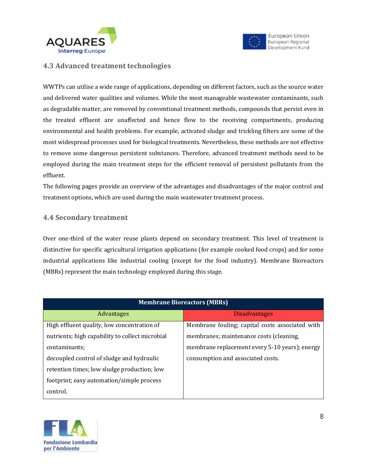



#### **4.3 Advanced treatment technologies**

WWTPs can utilise a wide range of applications, depending on different factors, such as the source water and delivered water qualities and volumes. While the most manageable wastewater contaminants, such as degradable matter, are removed by conventional treatment methods, compounds that persist even in the treated effluent are unaffected and hence flow to the receiving compartments, producing environmental and health problems. For example, activated sludge and trickling filters are some of the most widespread processes used for biological treatments. Nevertheless, these methods are not effective to remove some dangerous persistent substances. Therefore, advanced treatment methods need to be employed during the main treatment steps for the efficient removal of persistent pollutants from the effluent.

The following pages provide an overview of the advantages and disadvantages of the major control and treatment options, which are used during the main wastewater treatment process.

#### **4.4 Secondary treatment**

Over one-third of the water reuse plants depend on secondary treatment. This level of treatment is distinctive for specific agricultural irrigation applications (for example cooked food crops) and for some industrial applications like industrial cooling (except for the food industry). Membrane Bioreactors (MBRs) represent the main technology employed during this stage.

| <b>Membrane Bioreactors (MBRs)</b>              |                                                 |  |  |
|-------------------------------------------------|-------------------------------------------------|--|--|
| <b>Advantages</b>                               | <b>Disadvantages</b>                            |  |  |
| High effluent quality, low concentration of     | Membrane fouling; capital costs associated with |  |  |
| nutrients; high capability to collect microbial | membranes; maintenance costs (cleaning,         |  |  |
| contaminants;                                   | membrane replacement every 5-10 years); energy  |  |  |
| decoupled control of sludge and hydraulic       | consumption and associated costs.               |  |  |
| retention times; low sludge production; low     |                                                 |  |  |
| footprint; easy automation/simple process       |                                                 |  |  |
| control.                                        |                                                 |  |  |

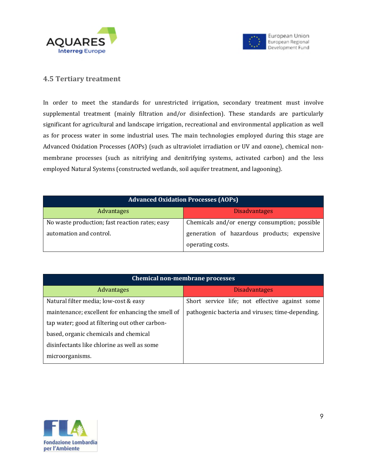



#### **4.5 Tertiary treatment**

In order to meet the standards for unrestricted irrigation, secondary treatment must involve supplemental treatment (mainly filtration and/or disinfection). These standards are particularly significant for agricultural and landscape irrigation, recreational and environmental application as well as for process water in some industrial uses. The main technologies employed during this stage are Advanced Oxidation Processes (AOPs) (such as ultraviolet irradiation or UV and ozone), chemical nonmembrane processes (such as nitrifying and denitrifying systems, activated carbon) and the less employed Natural Systems (constructed wetlands, soil aquifer treatment, and lagooning).

| <b>Advanced Oxidation Processes (AOPs)</b>     |                                               |  |
|------------------------------------------------|-----------------------------------------------|--|
| Advantages                                     | <b>Disadvantages</b>                          |  |
| No waste production; fast reaction rates; easy | Chemicals and/or energy consumption; possible |  |
| automation and control.                        | generation of hazardous products; expensive   |  |
|                                                | operating costs.                              |  |

| <b>Chemical non-membrane processes</b>            |                                                  |  |
|---------------------------------------------------|--------------------------------------------------|--|
| <b>Advantages</b>                                 | <b>Disadvantages</b>                             |  |
| Natural filter media; low-cost & easy             | Short service life; not effective against some   |  |
| maintenance; excellent for enhancing the smell of | pathogenic bacteria and viruses; time-depending. |  |
| tap water; good at filtering out other carbon-    |                                                  |  |
| based, organic chemicals and chemical             |                                                  |  |
| disinfectants like chlorine as well as some       |                                                  |  |
| microorganisms.                                   |                                                  |  |

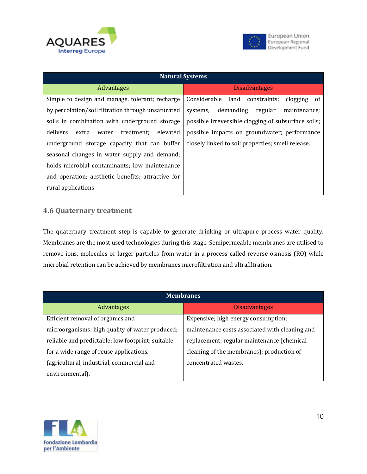



| <b>Natural Systems</b>                               |                                                     |  |  |
|------------------------------------------------------|-----------------------------------------------------|--|--|
| Advantages                                           | <b>Disadvantages</b>                                |  |  |
| Simple to design and manage, tolerant; recharge      | Considerable land<br>clogging of<br>constraints;    |  |  |
| by percolation/soil filtration through unsaturated   | systems, demanding<br>regular<br>maintenance:       |  |  |
| soils in combination with underground storage        | possible irreversible clogging of subsurface soils; |  |  |
| delivers<br>elevated<br>treatment:<br>extra<br>water | possible impacts on groundwater; performance        |  |  |
| underground storage capacity that can buffer         | closely linked to soil properties; smell release.   |  |  |
| seasonal changes in water supply and demand;         |                                                     |  |  |
| holds microbial contaminants; low maintenance        |                                                     |  |  |
| and operation; aesthetic benefits; attractive for    |                                                     |  |  |
| rural applications                                   |                                                     |  |  |

#### **4.6 Quaternary treatment**

The quaternary treatment step is capable to generate drinking or ultrapure process water quality. Membranes are the most used technologies during this stage. Semipermeable membranes are utilised to remove ions, molecules or larger particles from water in a process called reverse osmosis (RO) while microbial retention can be achieved by membranes microfiltration and ultrafiltration.

| <b>Membranes</b>                                  |                                                |  |  |
|---------------------------------------------------|------------------------------------------------|--|--|
| <b>Advantages</b>                                 | <b>Disadvantages</b>                           |  |  |
| Efficient removal of organics and                 | Expensive; high energy consumption;            |  |  |
| microorganisms; high quality of water produced;   | maintenance costs associated with cleaning and |  |  |
| reliable and predictable; low footprint; suitable | replacement; regular maintenance (chemical     |  |  |
| for a wide range of reuse applications,           | cleaning of the membranes); production of      |  |  |
| (agricultural, industrial, commercial and         | concentrated wastes.                           |  |  |
| environmental).                                   |                                                |  |  |

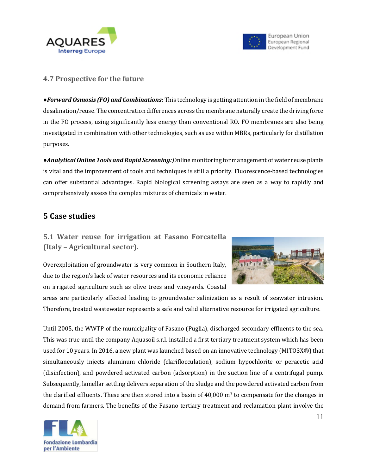



#### **4.7 Prospective for the future**

●*Forward Osmosis (FO) and Combinations:* This technology is getting attention in the field of membrane desalination/reuse. The concentration differences across the membrane naturally create the driving force in the FO process, using significantly less energy than conventional RO. FO membranes are also being investigated in combination with other technologies, such as use within MBRs, particularly for distillation purposes.

●*Analytical Online Tools and Rapid Screening:*Online monitoring for management of water reuse plants is vital and the improvement of tools and techniques is still a priority. Fluorescence-based technologies can offer substantial advantages. Rapid biological screening assays are seen as a way to rapidly and comprehensively assess the complex mixtures of chemicals in water.

#### **5 Case studies**

**5.1 Water reuse for irrigation at Fasano Forcatella (Italy – Agricultural sector).** 



Overexploitation of groundwater is very common in Southern Italy, due to the region's lack of water resources and its economic reliance on irrigated agriculture such as olive trees and vineyards. Coastal

areas are particularly affected leading to groundwater salinization as a result of seawater intrusion. Therefore, treated wastewater represents a safe and valid alternative resource for irrigated agriculture.

Until 2005, the WWTP of the municipality of Fasano (Puglia), discharged secondary effluents to the sea. This was true until the company Aquasoil s.r.l. installed a first tertiary treatment system which has been used for 10 years. In 2016, a new plant was launched based on an innovative technology (MITO3X®) that simultaneously injects aluminum chloride (clariflocculation), sodium hypochlorite or peracetic acid (disinfection), and powdered activated carbon (adsorption) in the suction line of a centrifugal pump. Subsequently, lamellar settling delivers separation of the sludge and the powdered activated carbon from the clarified effluents. These are then stored into a basin of  $40,000$  m<sup>3</sup> to compensate for the changes in demand from farmers. The benefits of the Fasano tertiary treatment and reclamation plant involve the

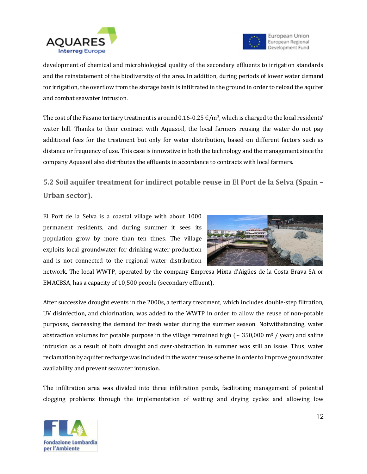



development of chemical and microbiological quality of the secondary effluents to irrigation standards and the reinstatement of the biodiversity of the area. In addition, during periods of lower water demand for irrigation, the overflow from the storage basin is infiltrated in the ground in order to reload the aquifer and combat seawater intrusion.

The cost of the Fasano tertiary treatment is around 0.16-0.25  $\epsilon/m^3$ , which is charged to the local residents' water bill. Thanks to their contract with Aquasoil, the local farmers reusing the water do not pay additional fees for the treatment but only for water distribution, based on different factors such as distance or frequency of use. This case is innovative in both the technology and the management since the company Aquasoil also distributes the effluents in accordance to contracts with local farmers.

**5.2 Soil aquifer treatment for indirect potable reuse in El Port de la Selva (Spain – Urban sector).**

El Port de la Selva is a coastal village with about 1000 permanent residents, and during summer it sees its population grow by more than ten times. The village exploits local groundwater for drinking water production and is not connected to the regional water distribution



network. The local WWTP, operated by the company Empresa Mixta d'Aigües de la Costa Brava SA or EMACBSA, has a capacity of 10,500 people (secondary effluent).

After successive drought events in the 2000s, a tertiary treatment, which includes double-step filtration, UV disinfection, and chlorination, was added to the WWTP in order to allow the reuse of non-potable purposes, decreasing the demand for fresh water during the summer season. Notwithstanding, water abstraction volumes for potable purpose in the village remained high ( $\sim$  350,000 m<sup>3</sup> / year) and saline intrusion as a result of both drought and over-abstraction in summer was still an issue. Thus, water reclamation by aquifer recharge was included in the water reuse scheme in order to improve groundwater availability and prevent seawater intrusion.

The infiltration area was divided into three infiltration ponds, facilitating management of potential clogging problems through the implementation of wetting and drying cycles and allowing low

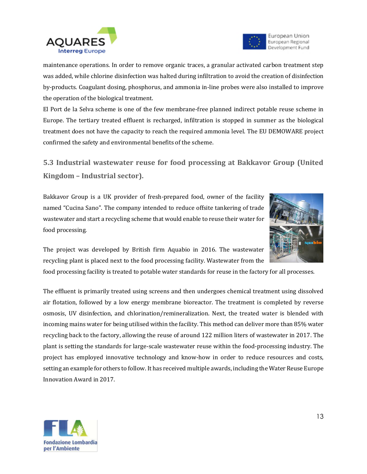



maintenance operations. In order to remove organic traces, a granular activated carbon treatment step was added, while chlorine disinfection was halted during infiltration to avoid the creation of disinfection by-products. Coagulant dosing, phosphorus, and ammonia in-line probes were also installed to improve the operation of the biological treatment.

El Port de la Selva scheme is one of the few membrane-free planned indirect potable reuse scheme in Europe. The tertiary treated effluent is recharged, infiltration is stopped in summer as the biological treatment does not have the capacity to reach the required ammonia level. The EU DEMOWARE project confirmed the safety and environmental benefits of the scheme.

**5.3 Industrial wastewater reuse for food processing at Bakkavor Group (United Kingdom – Industrial sector).**

Bakkavor Group is a UK provider of fresh-prepared food, owner of the facility named "Cucina Sano". The company intended to reduce offsite tankering of trade wastewater and start a recycling scheme that would enable to reuse their water for food processing.



The project was developed by British firm Aquabio in 2016. The wastewater recycling plant is placed next to the food processing facility. Wastewater from the

food processing facility is treated to potable water standards for reuse in the factory for all processes.

The effluent is primarily treated using screens and then undergoes chemical treatment using dissolved air flotation, followed by a low energy membrane bioreactor. The treatment is completed by reverse osmosis, UV disinfection, and chlorination/remineralization. Next, the treated water is blended with incoming mains water for being utilised within the facility. This method can deliver more than 85% water recycling back to the factory, allowing the reuse of around 122 million liters of wastewater in 2017. The plant is setting the standards for large-scale wastewater reuse within the food-processing industry. The project has employed innovative technology and know-how in order to reduce resources and costs, setting an example for others to follow. It has received multiple awards, including the Water Reuse Europe Innovation Award in 2017.

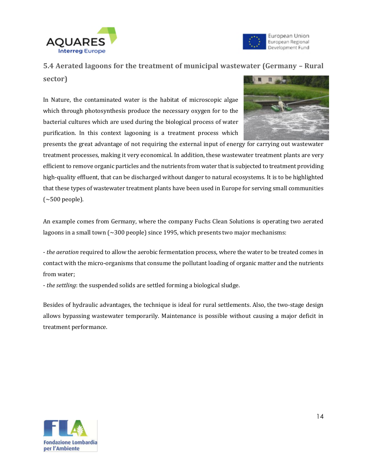



#### **5.4 Aerated lagoons for the treatment of municipal wastewater (Germany – Rural**

**sector)**

In Nature, the contaminated water is the habitat of microscopic algae which through photosynthesis produce the necessary oxygen for to the bacterial cultures which are used during the biological process of water purification. In this context lagooning is a treatment process which



presents the great advantage of not requiring the external input of energy for carrying out wastewater treatment processes, making it very economical. In addition, these wastewater treatment plants are very efficient to remove organic particles and the nutrients from water that is subjected to treatment providing high-quality effluent, that can be discharged without danger to natural ecosystems. It is to be highlighted that these types of wastewater treatment plants have been used in Europe for serving small communities  $(\sim 500$  people).

An example comes from Germany, where the company Fuchs Clean Solutions is operating two aerated lagoons in a small town (~300 people) since 1995, which presents two major mechanisms:

- *the aeration* required to allow the aerobic fermentation process, where the water to be treated comes in contact with the micro-organisms that consume the pollutant loading of organic matter and the nutrients from water;

- *the settling*: the suspended solids are settled forming a biological sludge.

Besides of hydraulic advantages, the technique is ideal for rural settlements. Also, the two-stage design allows bypassing wastewater temporarily. Maintenance is possible without causing a major deficit in treatment performance.

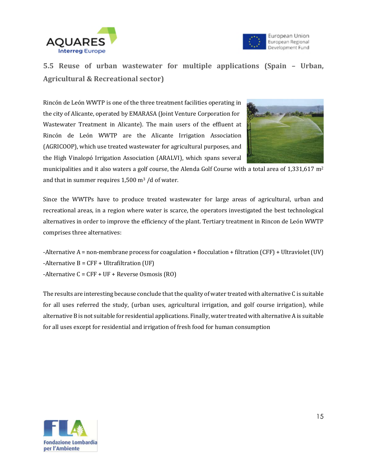



**5.5 Reuse of urban wastewater for multiple applications (Spain – Urban, Agricultural & Recreational sector)** 

Rincón de León WWTP is one of the three treatment facilities operating in the city of Alicante, operated by EMARASA (Joint Venture Corporation for Wastewater Treatment in Alicante). The main users of the effluent at Rincón de León WWTP are the Alicante Irrigation Association (AGRICOOP), which use treated wastewater for agricultural purposes, and the High Vinalopó Irrigation Association (ARALVI), which spans several



municipalities and it also waters a golf course, the Alenda Golf Course with a total area of  $1,331,617$  m<sup>2</sup> and that in summer requires  $1,500$  m<sup>3</sup> /d of water.

Since the WWTPs have to produce treated wastewater for large areas of agricultural, urban and recreational areas, in a region where water is scarce, the operators investigated the best technological alternatives in order to improve the efficiency of the plant. Tertiary treatment in Rincon de León WWTP comprises three alternatives:

-Alternative A = non-membrane process for coagulation + flocculation + filtration (CFF) + Ultraviolet (UV)  $-$ Alternative B = CFF  $+$  Ultrafiltration (UF)  $-$ Alternative C = CFF + UF + Reverse Osmosis (RO)

The results are interesting because conclude that the quality of water treated with alternative C is suitable for all uses referred the study, (urban uses, agricultural irrigation, and golf course irrigation), while alternative B is not suitable for residential applications. Finally, water treated with alternative A is suitable for all uses except for residential and irrigation of fresh food for human consumption

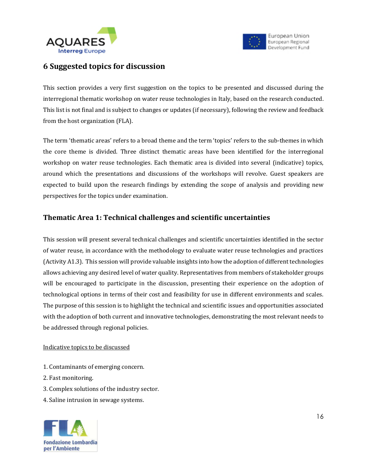



#### **6 Suggested topics for discussion**

This section provides a very first suggestion on the topics to be presented and discussed during the interregional thematic workshop on water reuse technologies in Italy, based on the research conducted. This list is not final and is subject to changes or updates (if necessary), following the review and feedback from the host organization (FLA).

The term 'thematic areas' refers to a broad theme and the term 'topics' refers to the sub-themes in which the core theme is divided. Three distinct thematic areas have been identified for the interregional workshop on water reuse technologies. Each thematic area is divided into several (indicative) topics, around which the presentations and discussions of the workshops will revolve. Guest speakers are expected to build upon the research findings by extending the scope of analysis and providing new perspectives for the topics under examination.

#### **Thematic Area 1: Technical challenges and scientific uncertainties**

This session will present several technical challenges and scientific uncertainties identified in the sector of water reuse, in accordance with the methodology to evaluate water reuse technologies and practices (Activity A1.3). This session will provide valuable insights into how the adoption of different technologies allows achieving any desired level of water quality. Representatives from members of stakeholder groups will be encouraged to participate in the discussion, presenting their experience on the adoption of technological options in terms of their cost and feasibility for use in different environments and scales. The purpose of this session is to highlight the technical and scientific issues and opportunities associated with the adoption of both current and innovative technologies, demonstrating the most relevant needs to be addressed through regional policies.

#### Indicative topics to be discussed

- 1. Contaminants of emerging concern.
- 2. Fast monitoring.
- 3. Complex solutions of the industry sector.
- 4. Saline intrusion in sewage systems.

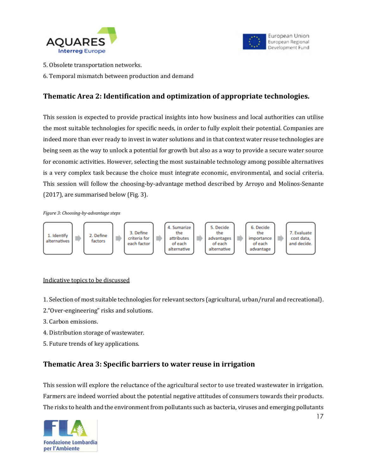



- 5. Obsolete transportation networks.
- 6. Temporal mismatch between production and demand

#### **Thematic Area 2: Identification and optimization of appropriate technologies.**

This session is expected to provide practical insights into how business and local authorities can utilise the most suitable technologies for specific needs, in order to fully exploit their potential. Companies are indeed more than ever ready to invest in water solutions and in that context water reuse technologies are being seen as the way to unlock a potential for growth but also as a way to provide a secure water source for economic activities. However, selecting the most sustainable technology among possible alternatives is a very complex task because the choice must integrate economic, environmental, and social criteria. This session will follow the choosing-by-advantage method described by Arroyo and Molinos-Senante (2017), are summarised below (Fig. 3).

*Figure 3: Choosing-by-advantage steps*



#### Indicative topics to be discussed

- 1. Selection of most suitable technologies for relevant sectors (agricultural, urban/rural and recreational).
- 2."Over-engineering" risks and solutions.
- 3. Carbon emissions.
- 4. Distribution storage of wastewater.
- 5. Future trends of key applications.

#### **Thematic Area 3: Specific barriers to water reuse in irrigation**

This session will explore the reluctance of the agricultural sector to use treated wastewater in irrigation. Farmers are indeed worried about the potential negative attitudes of consumers towards their products. The risks to health and the environment from pollutants such as bacteria, viruses and emerging pollutants

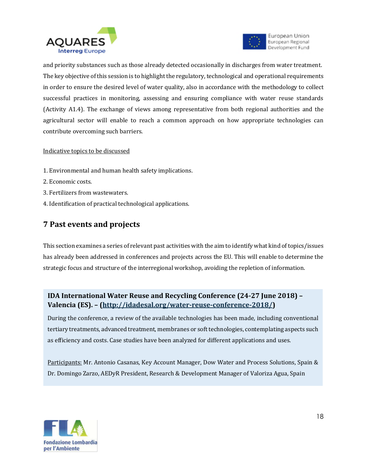



and priority substances such as those already detected occasionally in discharges from water treatment. The key objective of this session is to highlight the regulatory, technological and operational requirements in order to ensure the desired level of water quality, also in accordance with the methodology to collect successful practices in monitoring, assessing and ensuring compliance with water reuse standards (Activity A1.4). The exchange of views among representative from both regional authorities and the agricultural sector will enable to reach a common approach on how appropriate technologies can contribute overcoming such barriers.

#### Indicative topics to be discussed

- 1. Environmental and human health safety implications.
- 2. Economic costs.
- 3. Fertilizers from wastewaters.
- 4. Identification of practical technological applications.

#### **7 Past events and projects**

This section examines a series of relevant past activities with the aim to identify what kind of topics/issues has already been addressed in conferences and projects across the EU. This will enable to determine the strategic focus and structure of the interregional workshop, avoiding the repletion of information.

#### **IDA International Water Reuse and Recycling Conference (24-27 June 2018) – Valencia (ES). – [\(http://idadesal.org/water-reuse-conference-2018/\)](http://idadesal.org/water-reuse-conference-2018/)**

During the conference, a review of the available technologies has been made, including conventional tertiary treatments, advanced treatment, membranes or soft technologies, contemplating aspects such as efficiency and costs. Case studies have been analyzed for different applications and uses.

Participants: Mr. Antonio Casanas, Key Account Manager, Dow Water and Process Solutions, Spain & Dr. Domingo Zarzo, AEDyR President, Research & Development Manager of Valoriza Agua, Spain

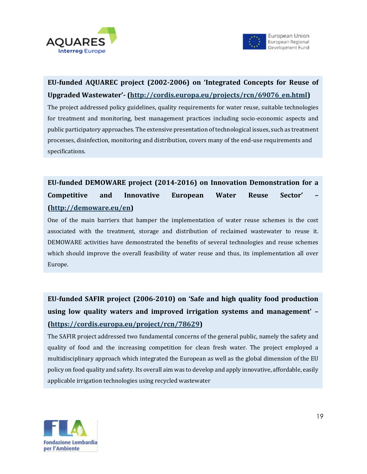



## **EU-funded AQUAREC project (2002-2006) on 'Integrated Concepts for Reuse of Upgraded Wastewater'- [\(http://cordis.europa.eu/projects/rcn/69076\\_en.html\)](http://cordis.europa.eu/projects/rcn/69076_en.html)**

The project addressed policy guidelines, quality requirements for water reuse, suitable technologies for treatment and monitoring, best management practices including socio-economic aspects and public participatory approaches. The extensive presentation of technological issues, such as treatment processes, disinfection, monitoring and distribution, covers many of the end-use requirements and specifications.

# **EU-funded DEMOWARE project (2014-2016) on Innovation Demonstration for a Competitive and Innovative European Water Reuse Sector' – [\(http://demoware.eu/en\)](http://demoware.eu/en)**

One of the main barriers that hamper the implementation of water reuse schemes is the cost associated with the treatment, storage and distribution of reclaimed wastewater to reuse it. DEMOWARE activities have demonstrated the benefits of several technologies and reuse schemes which should improve the overall feasibility of water reuse and thus, its implementation all over Europe.

# **9 Organisational issued of the interregional workshop [\(https://cordis.europa.eu/project/rcn/78629\)](https://cordis.europa.eu/project/rcn/78629) EU-funded SAFIR project (2006-2010) on 'Safe and high quality food production using low quality waters and improved irrigation systems and management' –**

multidisciplinary approach which integrated the European as well as the global dimension of the EU The SAFIR project addressed two fundamental concerns of the general public, namely the safety and quality of food and the increasing competition for clean fresh water. The project employed a policy on food quality and safety. Its overall aim was to develop and apply innovative, affordable, easily applicable irrigation technologies using recycled wastewater

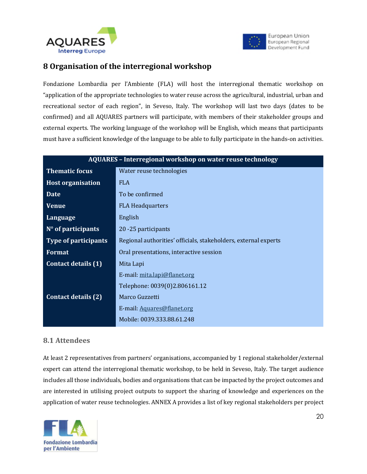



#### **8 Organisation of the interregional workshop**

Fondazione Lombardia per l'Ambiente (FLA) will host the interregional thematic workshop on "application of the appropriate technologies to water reuse across the agricultural, industrial, urban and recreational sector of each region", in Seveso, Italy. The workshop will last two days (dates to be confirmed) and all AQUARES partners will participate, with members of their stakeholder groups and external experts. The working language of the workshop will be English, which means that participants must have a sufficient knowledge of the language to be able to fully participate in the hands-on activities.

| AQUARES - Interregional workshop on water reuse technology |                                                                 |  |  |
|------------------------------------------------------------|-----------------------------------------------------------------|--|--|
| <b>Thematic focus</b>                                      | Water reuse technologies                                        |  |  |
| <b>Host organisation</b>                                   | <b>FLA</b>                                                      |  |  |
| <b>Date</b>                                                | To be confirmed                                                 |  |  |
| <b>Venue</b>                                               | <b>FLA Headquarters</b>                                         |  |  |
| Language                                                   | English                                                         |  |  |
| $No$ of participants                                       | 20 - 25 participants                                            |  |  |
| <b>Type of participants</b>                                | Regional authorities' officials, stakeholders, external experts |  |  |
| <b>Format</b>                                              | Oral presentations, interactive session                         |  |  |
| <b>Contact details (1)</b>                                 | Mita Lapi                                                       |  |  |
|                                                            | E-mail: mita.lapi@flanet.org                                    |  |  |
|                                                            | Telephone: 0039(0)2.806161.12                                   |  |  |
| <b>Contact details (2)</b>                                 | Marco Guzzetti                                                  |  |  |
|                                                            | E-mail: Aquares@flanet.org                                      |  |  |
|                                                            | Mobile: 0039.333.88.61.248                                      |  |  |

#### **8.1 Attendees**

At least 2 representatives from partners' organisations, accompanied by 1 regional stakeholder/external expert can attend the interregional thematic workshop, to be held in Seveso, Italy. The target audience includes all those individuals, bodies and organisations that can be impacted by the project outcomes and are interested in utilising project outputs to support the sharing of knowledge and experiences on the application of water reuse technologies. ANNEX A provides a list of key regional stakeholders per project

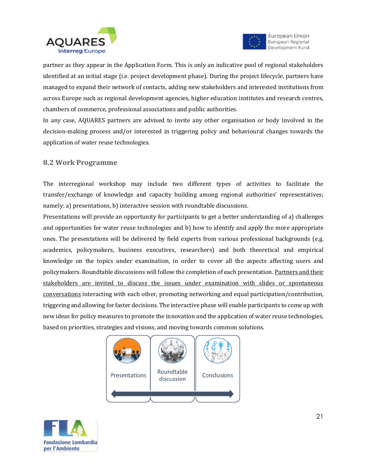



partner as they appear in the Application Form. This is only an indicative pool of regional stakeholders identified at an initial stage (i.e. project development phase). During the project lifecycle, partners have managed to expand their network of contacts, adding new stakeholders and interested institutions from across Europe such as regional development agencies, higher education institutes and research centres, chambers of commerce, professional associations and public authorities.

In any case, AQUARES partners are advised to invite any other organisation or body involved in the decision-making process and/or interested in triggering policy and behavioural changes towards the application of water reuse technologies.

#### **8.2 Work Programme**

The interregional workshop may include two different types of activities to facilitate the transfer/exchange of knowledge and capacity building among regional authorities' representatives; namely: a) presentations, b) interactive session with roundtable discussions.

Presentations will provide an opportunity for participants to get a better understanding of a) challenges and opportunities for water reuse technologies and b) how to identify and apply the more appropriate ones. The presentations will be delivered by field experts from various professional backgrounds (e.g. academics, policymakers, business executives, researchers) and both theoretical and empirical knowledge on the topics under examination, in order to cover all the aspects affecting users and policymakers. Roundtable discussions will follow the completion of each presentation. Partners and their stakeholders are invited to discuss the issues under examination with slides or spontaneous conversations interacting with each other, promoting networking and equal participation/contribution, triggering and allowing for faster decisions. The interactive phase will enable participants to come up with new ideas for policy measures to promote the innovation and the application of water reuse technologies, based on priorities, strategies and visions, and moving towards common solutions.



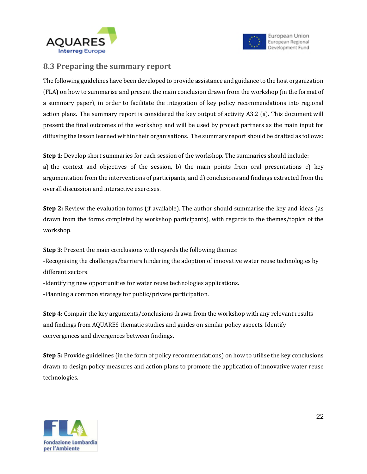



#### **8.3 Preparing the summary report**

The following guidelines have been developed to provide assistance and guidance to the host organization (FLA) on how to summarise and present the main conclusion drawn from the workshop (in the format of a summary paper), in order to facilitate the integration of key policy recommendations into regional action plans. The summary report is considered the key output of activity A3.2 (a). This document will present the final outcomes of the workshop and will be used by project partners as the main input for diffusing the lesson learned within their organisations. The summary report should be drafted as follows:

**Step 1:** Develop short summaries for each session of the workshop. The summaries should include:

a) the context and objectives of the session, b) the main points from oral presentations c) key argumentation from the interventions of participants, and d) conclusions and findings extracted from the overall discussion and interactive exercises.

**Step 2:** Review the evaluation forms (if available). The author should summarise the key and ideas (as drawn from the forms completed by workshop participants), with regards to the themes/topics of the workshop.

**Step 3:** Present the main conclusions with regards the following themes:

‐Recognising the challenges/barriers hindering the adoption of innovative water reuse technologies by different sectors.

-Identifying new opportunities for water reuse technologies applications.

-Planning a common strategy for public/private participation.

**Step 4:** Compair the key arguments/conclusions drawn from the workshop with any relevant results and findings from AQUARES thematic studies and guides on similar policy aspects. Identify convergences and divergences between findings.

**Step 5:** Provide guidelines (in the form of policy recommendations) on how to utilise the key conclusions drawn to design policy measures and action plans to promote the application of innovative water reuse technologies.

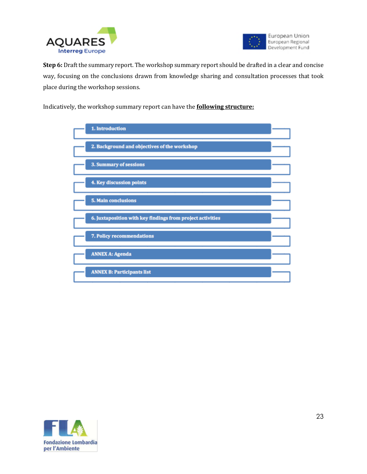



**Step 6:** Draft the summary report. The workshop summary report should be drafted in a clear and concise way, focusing on the conclusions drawn from knowledge sharing and consultation processes that took place during the workshop sessions.

Indicatively, the workshop summary report can have the **following structure:**



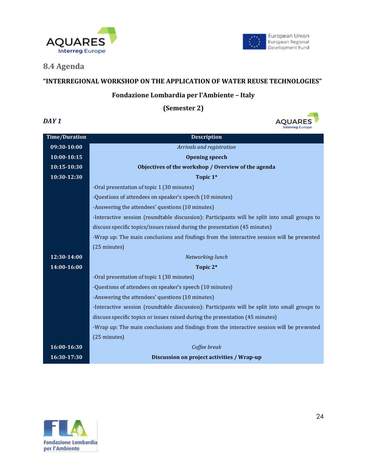



#### **8.4 Agenda**

#### **"INTERREGIONAL WORKSHOP ON THE APPLICATION OF WATER REUSE TECHNOLOGIES"**

#### **Fondazione Lombardia per l'Ambiente – Italy**

**(Semester 2)**



| <b>Time/Duration</b> | <b>Description</b>                                                                            |
|----------------------|-----------------------------------------------------------------------------------------------|
| 09:30-10:00          | Arrivals and registration                                                                     |
| 10:00-10:15          | <b>Opening speech</b>                                                                         |
| 10:15-10:30          | Objectives of the workshop / Overview of the agenda                                           |
| 10:30-12:30          | Topic 1*                                                                                      |
|                      | -Oral presentation of topic 1 (30 minutes)                                                    |
|                      | -Questions of attendees on speaker's speech (10 minutes)                                      |
|                      | -Answering the attendees' questions (10 minutes)                                              |
|                      | -Interactive session (roundtable discussion): Participants will be split into small groups to |
|                      | discuss specific topics/issues raised during the presentation (45 minutes)                    |
|                      | -Wrap up: The main conclusions and findings from the interactive session will be presented    |
|                      | (25 minutes)                                                                                  |
| 12:30-14:00          | Networking lunch                                                                              |
| 14:00-16:00          | Topic 2*                                                                                      |
|                      | -Oral presentation of topic 1 (30 minutes)                                                    |
|                      | -Questions of attendees on speaker's speech (10 minutes)                                      |
|                      | -Answering the attendees' questions (10 minutes)                                              |
|                      | -Interactive session (roundtable discussion): Participants will be split into small groups to |
|                      | discuss specific topics or issues raised during the presentation (45 minutes)                 |
|                      | -Wrap up: The main conclusions and findings from the interactive session will be presented    |
|                      | (25 minutes)                                                                                  |
| 16:00-16:30          | Coffee break                                                                                  |
| 16:30-17:30          | Discussion on project activities / Wrap-up                                                    |

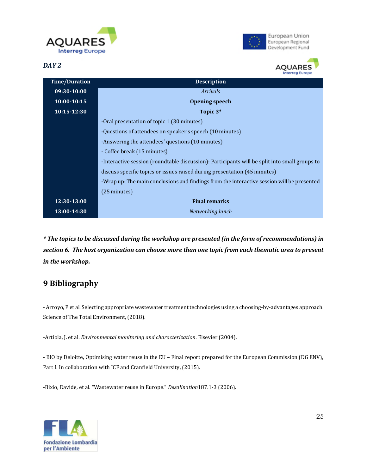







| <b>Time/Duration</b>                                                      | <b>Description</b>                                                                            |  |  |  |
|---------------------------------------------------------------------------|-----------------------------------------------------------------------------------------------|--|--|--|
| 09:30-10:00                                                               | <i>Arrivals</i>                                                                               |  |  |  |
| $10:00-10:15$                                                             | <b>Opening speech</b>                                                                         |  |  |  |
| $10:15 - 12:30$                                                           | Topic 3*                                                                                      |  |  |  |
|                                                                           | -Oral presentation of topic 1 (30 minutes)                                                    |  |  |  |
|                                                                           | -Questions of attendees on speaker's speech (10 minutes)                                      |  |  |  |
|                                                                           | -Answering the attendees' questions (10 minutes)                                              |  |  |  |
|                                                                           | - Coffee break (15 minutes)                                                                   |  |  |  |
|                                                                           | -Interactive session (roundtable discussion): Participants will be split into small groups to |  |  |  |
| discuss specific topics or issues raised during presentation (45 minutes) |                                                                                               |  |  |  |
|                                                                           | -Wrap up: The main conclusions and findings from the interactive session will be presented    |  |  |  |
|                                                                           | $(25 \text{ minutes})$                                                                        |  |  |  |
| 12:30-13:00                                                               | <b>Final remarks</b>                                                                          |  |  |  |
| 13:00-14:30                                                               | Networking lunch                                                                              |  |  |  |

*\* The topics to be discussed during the workshop are presented (in the form of recommendations) in section 6. The host organization can choose more than one topic from each thematic area to present in the workshop.*

## **9 Bibliography**

- Arroyo, P et al. Selecting appropriate wastewater treatment technologies using a choosing-by-advantages approach. Science of The Total Environment, (2018).

-Artiola, J. et al. *Environmental monitoring and characterization*. Elsevier (2004).

- BIO by Deloitte, Optimising water reuse in the EU – Final report prepared for the European Commission (DG ENV), Part I. In collaboration with ICF and Cranfield University, (2015).

-Bixio, Davide, et al. "Wastewater reuse in Europe." *Desalination*187.1-3 (2006).

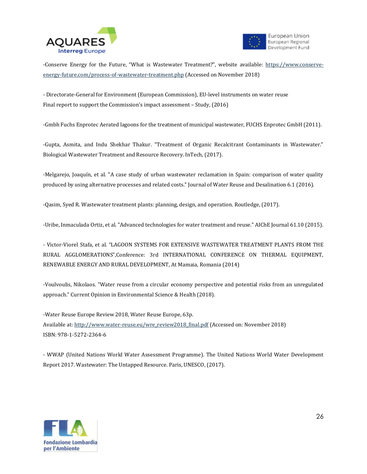



-Conserve Energy for the Future, "What is Wastewater Treatment?", website available: [https://www.conserve](https://www.conserve-energy-future.com/process-of-wastewater-treatment.php)[energy-future.com/process-of-wastewater-treatment.php](https://www.conserve-energy-future.com/process-of-wastewater-treatment.php) (Accessed on November 2018)

- Directorate-General for Environment (European Commission), EU-level instruments on water reuse Final report to support the Commission's impact assessment – Study, (2016)

-Gmbh Fuchs Enprotec Aerated lagoons for the treatment of municipal wastewater, FUCHS Enprotec GmbH (2011).

-Gupta, Asmita, and Indu Shekhar Thakur. "Treatment of Organic Recalcitrant Contaminants in Wastewater." Biological Wastewater Treatment and Resource Recovery. InTech, (2017).

-Melgarejo, Joaquín, et al. "A case study of urban wastewater reclamation in Spain: comparison of water quality produced by using alternative processes and related costs." Journal of Water Reuse and Desalination 6.1 (2016).

-Qasim, Syed R. Wastewater treatment plants: planning, design, and operation. Routledge, (2017).

-Uribe, Inmaculada Ortiz, et al. "Advanced technologies for water treatment and reuse." AIChE Journal 61.10 (2015).

- Victor-Viorel Stafa, et al. "LAGOON SYSTEMS FOR EXTENSIVE WASTEWATER TREATMENT PLANTS FROM THE RURAL AGGLOMERATIONS",Conference: 3rd INTERNATIONAL CONFERENCE ON THERMAL EQUIPMENT, RENEWABLE ENERGY AND RURAL DEVELOPMENT, At Mamaia, Romania (2014)

-Voulvoulis, Nikolaos. "Water reuse from a circular economy perspective and potential risks from an unregulated approach." Current Opinion in Environmental Science & Health (2018).

-Water Reuse Europe Review 2018, Water Reuse Europe, 63p. Available at: [http://www.water-reuse.eu/wre\\_review2018\\_final.pdf](http://www.water-reuse.eu/wre_review2018_final.pdf) (Accessed on: November 2018) ISBN: 978-1-5272-2364-6

- WWAP (United Nations World Water Assessment Programme). The United Nations World Water Development Report 2017. Wastewater: The Untapped Resource. Paris, UNESCO, (2017).

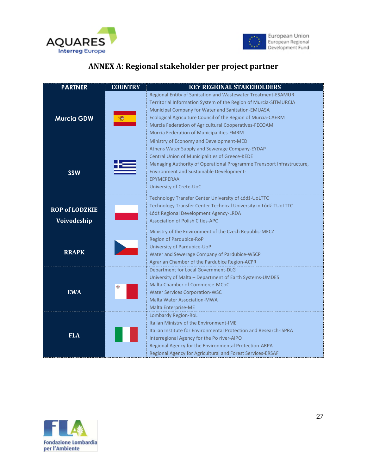



# **ANNEX A: Regional stakeholder per project partner**

| <b>PARTNER</b>                       | <b>COUNTRY</b> | <b>KEY REGIONAL STAKEHOLDERS</b>                                                                                                                                                                                                                                                                                                                            |
|--------------------------------------|----------------|-------------------------------------------------------------------------------------------------------------------------------------------------------------------------------------------------------------------------------------------------------------------------------------------------------------------------------------------------------------|
| <b>Murcia GDW</b>                    |                | Regional Entity of Sanitation and Wastewater Treatment-ESAMUR<br>Territorial Information System of the Region of Murcia-SITMURCIA<br>Municipal Company for Water and Sanitation-EMUASA<br>Ecological Agriculture Council of the Region of Murcia-CAERM<br>Murcia Federation of Agricultural Cooperatives-FECOAM<br>Murcia Federation of Municipalities-FMRM |
| <b>SSW</b>                           |                | Ministry of Economy and Development-MED<br>Athens Water Supply and Sewerage Company-EYDAP<br><b>Central Union of Municipalities of Greece-KEDE</b><br>Managing Authority of Operational Programme Transport Infrastructure,<br><b>Environment and Sustainable Development-</b><br><b>EPYMEPERAA</b><br>University of Crete-UoC                              |
| <b>ROP of LODZKIE</b><br>Voivodeship |                | Technology Transfer Center University of Łódź-UoLTTC<br>Technology Transfer Center Technical University in Łódź-TUoLTTC<br>Łódź Regional Development Agency-LRDA<br><b>Association of Polish Cities-APC</b>                                                                                                                                                 |
| <b>RRAPK</b>                         |                | Ministry of the Environment of the Czech Republic-MECZ<br>Region of Pardubice-RoP<br>University of Pardubice-UoP<br>Water and Sewerage Company of Pardubice-WSCP<br>Agrarian Chamber of the Pardubice Region-ACPR                                                                                                                                           |
| <b>EWA</b>                           | ╬              | Department for Local Government-DLG<br>University of Malta - Department of Earth Systems-UMDES<br>Malta Chamber of Commerce-MCoC<br><b>Water Services Corporation-WSC</b><br><b>Malta Water Association-MWA</b><br>Malta Enterprise-ME                                                                                                                      |
| <b>FLA</b>                           |                | Lombardy Region-RoL<br>Italian Ministry of the Environment-IME<br>Italian Institute for Environmental Protection and Research-ISPRA<br>Interregional Agency for the Po river-AIPO<br>Regional Agency for the Environmental Protection-ARPA<br>Regional Agency for Agricultural and Forest Services-ERSAF                                                    |